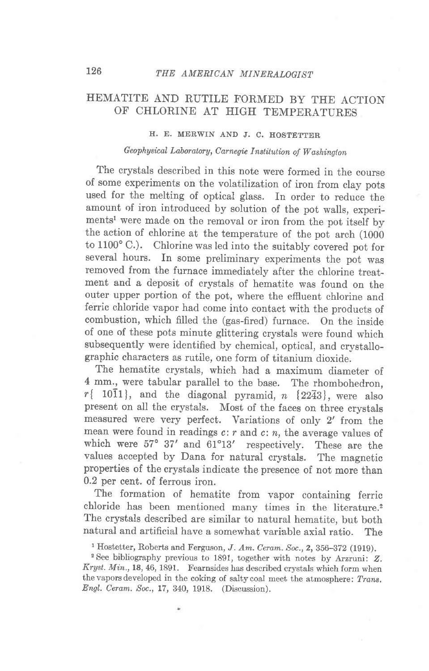## HEMATITE AND RUTILE FORMED BY THE ACTION OF CHLORINE AT HIGH TEMPERATURES

## H. E. MERWIN AND J. C. HOSTETTER

## Geophysical Laboratory, Carnegie Institution of Washington

The crystals described in this note were formed in the course of some experiments on the volatilization of iron from clay pots used for the melting of optical glass. In order to reduce the amount of iron introduced by solution of the pot walls, experiments<sup>1</sup> were made on the removal or iron from the pot itself by the action of chlorine at the temperature of the pot arch (1000 to 1100" C.). Chlorine was led into the suitably covered pot for several hours. In some preliminary experiments the pot was removed from the furnace immediately after the chlorine treatment and a deposit of crystals of hematite was found on the outer upper portion of the pot, where the efluent chlorine and ferric chloride vapor had come into contact with the products of combustion, which filled the (gas-fired) furnace. On the inside of one of these pots minute glittering crystals were found which subsequently were identified by chemical, optical, and crystallographic characters as rutile, one form of titanium dioxide.

The hematite crystals, which had a maximum diameter of 4 mm., were tabular parallel to the base. The rhombohedron,  $r\{-10\overline{1}1\}$ , and the diagonal pyramid,  $n\{22\overline{4}3\}$ , were also present on all the crystals. Most of the faces on three crystals measured were very perfect. Variations of only 2' from the mean were found in readings  $c: r$  and  $c: n$ , the average values of which were  $57^{\circ}$  37' and  $61^{\circ}13'$  respectively. These are the values accepted by Dana for natural crystals. The magnetic properties of the crystals indicate the presence of not more than 0.2 per cent. of ferrous iron.

The formation of hematite from vapor containing ferric chloride has been mentioned many times in the literature.<sup>2</sup> The crystals described are similar to natural hematite, but both natural and artificial have a somewhat variable axial ratio. The

<sup>&</sup>lt;sup>1</sup> Hostetter, Roberts and Ferguson, *J. Am. Ceram. Soc.*, **2**, 356-372 (1919).

<sup>&</sup>lt;sup>2</sup> See bibliography previous to 1891, together with notes by Arzruni: Z. Kryst. Min., 18, 46, 1891. Fearnsides has described crystals which form when the vapors developed in the coking of salty coal meet the atmosphere: Trans. Engl. Ceram. Soc., 17, 340, 1918. (Discussion).